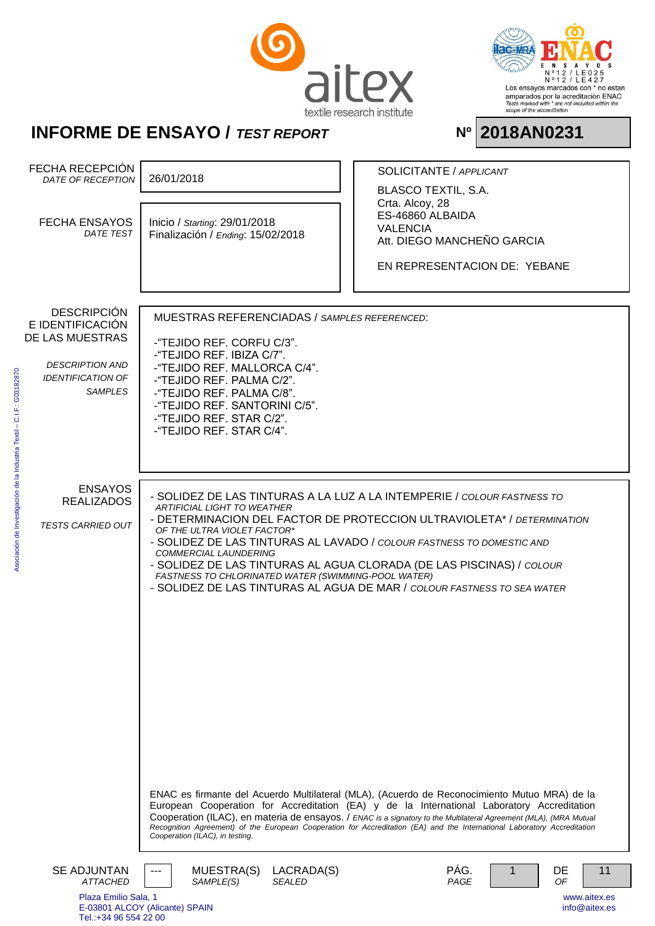



Asociación de Investigación de la Industria Textil – C.I.F.: G03182870

Asociación de Investigación de la Industria Textil - C.I.F.: G03182870

| FECHA RECEPCIÓN<br>DATE OF RECEPTION     | 26/01/2018                                                                                                                                                                                                                                    |                             | SOLICITANTE / APPLICANT             |   |          |                               |
|------------------------------------------|-----------------------------------------------------------------------------------------------------------------------------------------------------------------------------------------------------------------------------------------------|-----------------------------|-------------------------------------|---|----------|-------------------------------|
|                                          |                                                                                                                                                                                                                                               |                             | <b>BLASCO TEXTIL, S.A.</b>          |   |          |                               |
|                                          |                                                                                                                                                                                                                                               |                             | Crta. Alcoy, 28<br>ES-46860 ALBAIDA |   |          |                               |
| <b>FECHA ENSAYOS</b><br><b>DATE TEST</b> | Inicio / Starting: 29/01/2018<br>Finalización / Ending: 15/02/2018                                                                                                                                                                            |                             | <b>VALENCIA</b>                     |   |          |                               |
|                                          |                                                                                                                                                                                                                                               |                             | Att. DIEGO MANCHEÑO GARCIA          |   |          |                               |
|                                          |                                                                                                                                                                                                                                               |                             | EN REPRESENTACION DE: YEBANE        |   |          |                               |
|                                          |                                                                                                                                                                                                                                               |                             |                                     |   |          |                               |
|                                          |                                                                                                                                                                                                                                               |                             |                                     |   |          |                               |
| <b>DESCRIPCIÓN</b><br>E IDENTIFICACIÓN   | <b>MUESTRAS REFERENCIADAS / SAMPLES REFERENCED:</b>                                                                                                                                                                                           |                             |                                     |   |          |                               |
| DE LAS MUESTRAS                          | -"TEJIDO REF. CORFU C/3".                                                                                                                                                                                                                     |                             |                                     |   |          |                               |
| <b>DESCRIPTION AND</b>                   | -"TEJIDO REF. IBIZA C/7".                                                                                                                                                                                                                     |                             |                                     |   |          |                               |
| <b>IDENTIFICATION OF</b>                 | -"TEJIDO REF. MALLORCA C/4".<br>-"TEJIDO REF. PALMA C/2".                                                                                                                                                                                     |                             |                                     |   |          |                               |
| <b>SAMPLES</b>                           | -"TEJIDO REF. PALMA C/8".                                                                                                                                                                                                                     |                             |                                     |   |          |                               |
|                                          | -"TEJIDO REF. SANTORINI C/5".                                                                                                                                                                                                                 |                             |                                     |   |          |                               |
|                                          | -"TEJIDO REF. STAR C/2".<br>-"TEJIDO REF. STAR C/4".                                                                                                                                                                                          |                             |                                     |   |          |                               |
|                                          |                                                                                                                                                                                                                                               |                             |                                     |   |          |                               |
|                                          |                                                                                                                                                                                                                                               |                             |                                     |   |          |                               |
| <b>ENSAYOS</b>                           |                                                                                                                                                                                                                                               |                             |                                     |   |          |                               |
| <b>REALIZADOS</b>                        | - SOLIDEZ DE LAS TINTURAS A LA LUZ A LA INTEMPERIE / COLOUR FASTNESS TO<br><b>ARTIFICIAL LIGHT TO WEATHER</b>                                                                                                                                 |                             |                                     |   |          |                               |
| <b>TESTS CARRIED OUT</b>                 | - DETERMINACION DEL FACTOR DE PROTECCION ULTRAVIOLETA* / DETERMINATION<br>OF THE ULTRA VIOLET FACTOR*                                                                                                                                         |                             |                                     |   |          |                               |
|                                          | - SOLIDEZ DE LAS TINTURAS AL LAVADO / COLOUR FASTNESS TO DOMESTIC AND                                                                                                                                                                         |                             |                                     |   |          |                               |
|                                          | <b>COMMERCIAL LAUNDERING</b><br>- SOLIDEZ DE LAS TINTURAS AL AGUA CLORADA (DE LAS PISCINAS) / COLOUR                                                                                                                                          |                             |                                     |   |          |                               |
|                                          | FASTNESS TO CHLORINATED WATER (SWIMMING-POOL WATER)                                                                                                                                                                                           |                             |                                     |   |          |                               |
|                                          | - SOLIDEZ DE LAS TINTURAS AL AGUA DE MAR / COLOUR FASTNESS TO SEA WATER                                                                                                                                                                       |                             |                                     |   |          |                               |
|                                          |                                                                                                                                                                                                                                               |                             |                                     |   |          |                               |
|                                          |                                                                                                                                                                                                                                               |                             |                                     |   |          |                               |
|                                          |                                                                                                                                                                                                                                               |                             |                                     |   |          |                               |
|                                          |                                                                                                                                                                                                                                               |                             |                                     |   |          |                               |
|                                          |                                                                                                                                                                                                                                               |                             |                                     |   |          |                               |
|                                          |                                                                                                                                                                                                                                               |                             |                                     |   |          |                               |
|                                          |                                                                                                                                                                                                                                               |                             |                                     |   |          |                               |
|                                          |                                                                                                                                                                                                                                               |                             |                                     |   |          |                               |
|                                          |                                                                                                                                                                                                                                               |                             |                                     |   |          |                               |
|                                          |                                                                                                                                                                                                                                               |                             |                                     |   |          |                               |
|                                          | ENAC es firmante del Acuerdo Multilateral (MLA), (Acuerdo de Reconocimiento Mutuo MRA) de la<br>European Cooperation for Accreditation (EA) y de la International Laboratory Accreditation                                                    |                             |                                     |   |          |                               |
|                                          | Cooperation (ILAC), en materia de ensayos. / ENAC is a signatory to the Multilateral Agreement (MLA), (MRA Mutual<br>Recognition Agreement) of the European Cooperation for Accreditation (EA) and the International Laboratory Accreditation |                             |                                     |   |          |                               |
|                                          | Cooperation (ILAC), in testing.                                                                                                                                                                                                               |                             |                                     |   |          |                               |
| <b>SE ADJUNTAN</b>                       |                                                                                                                                                                                                                                               |                             | PÁG.                                |   |          |                               |
| <b>ATTACHED</b>                          | MUESTRA(S)<br>SAMPLE(S)                                                                                                                                                                                                                       | LACRADA(S)<br><b>SEALED</b> | PAGE                                | 1 | DE<br>OF | 11                            |
| Plaza Emilio Sala, 1                     | E-03801 ALCOY (Alicante) SPAIN                                                                                                                                                                                                                |                             |                                     |   |          | www.aitex.es<br>info@aitex.es |
| Tel.:+34 96 554 22 00                    |                                                                                                                                                                                                                                               |                             |                                     |   |          |                               |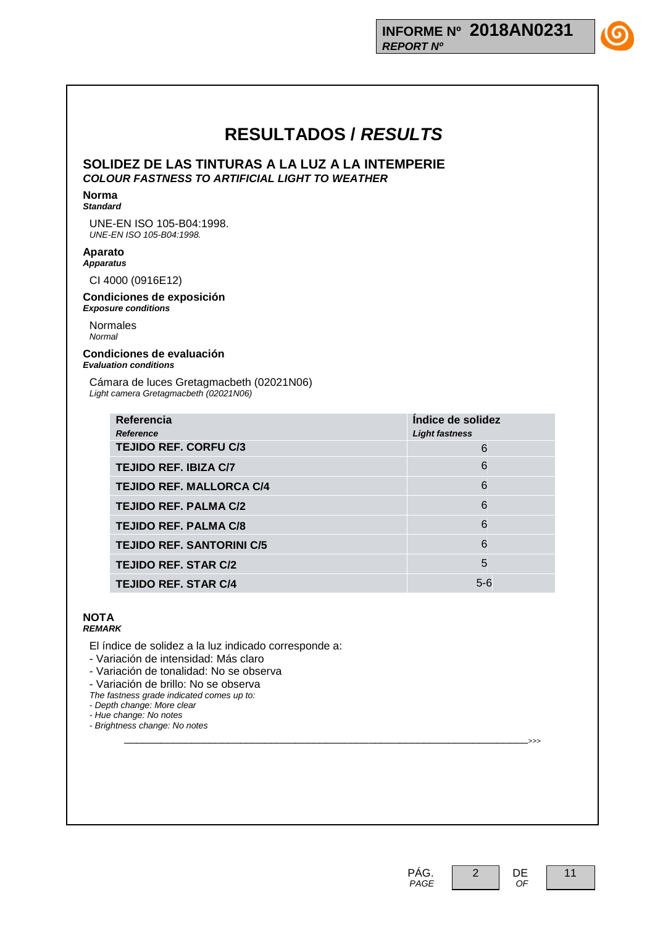**SOLIDEZ DE LAS TINTURAS A LA LUZ A LA INTEMPERIE** *COLOUR FASTNESS TO ARTIFICIAL LIGHT TO WEATHER*

#### **Norma** *Standard*

UNE-EN ISO 105-B04:1998. *UNE-EN ISO 105-B04:1998.*

### **Aparato** *Apparatus*

CI 4000 (0916E12)

#### **Condiciones de exposición** *Exposure conditions*

Normales *Normal*

#### **Condiciones de evaluación** *Evaluation conditions*

Cámara de luces Gretagmacbeth (02021N06) *Light camera Gretagmacbeth (02021N06)*

| Referencia<br><b>Reference</b>   | Indice de solidez<br><b>Light fastness</b> |
|----------------------------------|--------------------------------------------|
| <b>TEJIDO REF. CORFU C/3</b>     | 6                                          |
| <b>TEJIDO REF. IBIZA C/7</b>     | 6                                          |
| <b>TEJIDO REF. MALLORCA C/4</b>  | 6                                          |
| <b>TEJIDO REF. PALMA C/2</b>     | 6                                          |
| <b>TEJIDO REF. PALMA C/8</b>     | 6                                          |
| <b>TEJIDO REF. SANTORINI C/5</b> | 6                                          |
| <b>TEJIDO REF. STAR C/2</b>      | 5                                          |
| <b>TEJIDO REF. STAR C/4</b>      | $5 - 6$                                    |

#### **NOTA** *REMARK*

El índice de solidez a la luz indicado corresponde a:

- Variación de intensidad: Más claro

- Variación de tonalidad: No se observa

- Variación de brillo: No se observa

*The fastness grade indicated comes up to:*

*- Depth change: More clear*

*- Hue change: No notes*

*- Brightness change: No notes* \_\_\_\_\_\_\_\_\_\_\_\_\_\_\_\_\_\_\_\_\_\_\_\_\_\_\_\_\_\_\_\_\_\_\_\_\_\_\_\_\_\_\_\_\_\_\_\_\_\_\_\_\_\_\_\_\_\_\_\_\_\_\_\_\_\_>>>





 *OF*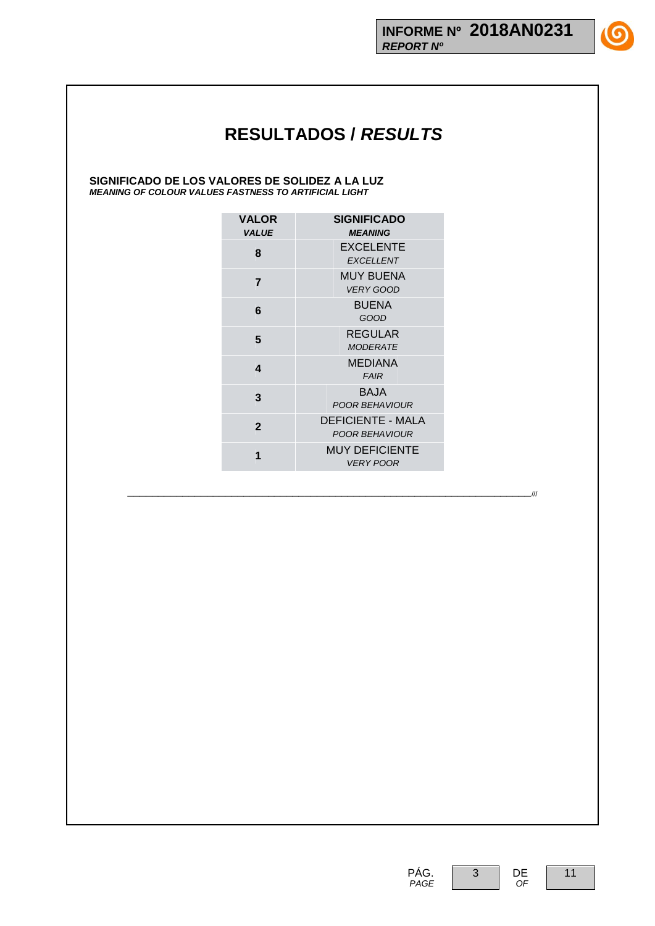**SIGNIFICADO DE LOS VALORES DE SOLIDEZ A LA LUZ** *MEANING OF COLOUR VALUES FASTNESS TO ARTIFICIAL LIGHT*

| <b>VALOR</b><br><b>VALUE</b> | <b>SIGNIFICADO</b><br><b>MEANING</b>       |
|------------------------------|--------------------------------------------|
| 8                            | <b>EXCELENTE</b><br><b>EXCELLENT</b>       |
| $\overline{7}$               | MUY BUENA<br><b>VERY GOOD</b>              |
| 6                            | <b>BUENA</b><br>GOOD                       |
| 5                            | REGULAR<br><b>MODERATE</b>                 |
| 4                            | <b>MEDIANA</b><br><b>FAIR</b>              |
| 3                            | BA.JA<br>POOR BEHAVIOUR                    |
| $\mathbf{2}$                 | <b>DEFICIENTE - MALA</b><br>POOR BEHAVIOUR |
|                              | <b>MUY DEFICIENTE</b><br>VERY POOR         |

\_\_\_\_\_\_\_\_\_\_\_\_\_\_\_\_\_\_\_\_\_\_\_\_\_\_\_\_\_\_\_\_\_\_\_\_\_\_\_\_\_\_\_\_\_\_\_\_\_\_\_\_\_\_\_\_\_\_\_\_\_\_\_\_\_\_///

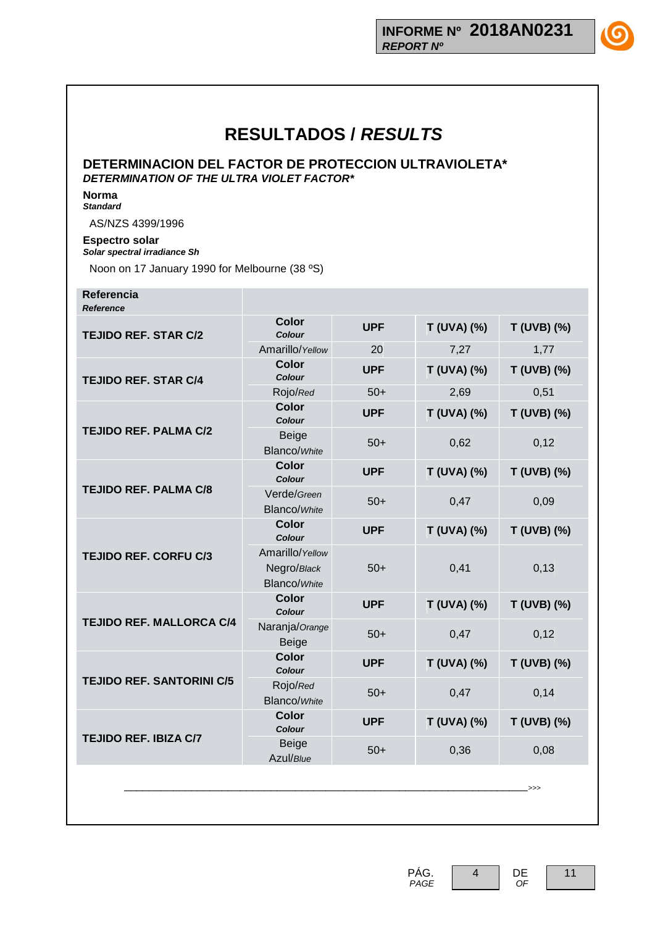**DETERMINACION DEL FACTOR DE PROTECCION ULTRAVIOLETA\*** *DETERMINATION OF THE ULTRA VIOLET FACTOR\**

**Norma** *Standard*

AS/NZS 4399/1996

### **Espectro solar** *Solar spectral irradiance Sh*

Noon on 17 January 1990 for Melbourne (38 ºS)

#### **Referencia** *Reference*

| reigieilus                       |                                                       |            |             |               |
|----------------------------------|-------------------------------------------------------|------------|-------------|---------------|
| <b>TEJIDO REF. STAR C/2</b>      | <b>Color</b><br>Colour                                | <b>UPF</b> | T (UVA) (%) | T (UVB) (%)   |
|                                  | Amarillo/Yellow                                       | 20         | 7,27        | 1,77          |
| <b>TEJIDO REF. STAR C/4</b>      | <b>Color</b><br>Colour                                | <b>UPF</b> | T (UVA) (%) | T (UVB) (%)   |
|                                  | Rojo/Red                                              | $50+$      | 2,69        | 0,51          |
|                                  | <b>Color</b><br>Colour                                | <b>UPF</b> | T (UVA) (%) | T (UVB) (%)   |
| <b>TEJIDO REF. PALMA C/2</b>     | Beige<br><b>Blanco/White</b>                          | $50+$      | 0,62        | 0,12          |
|                                  | <b>Color</b><br>Colour                                | <b>UPF</b> | T (UVA) (%) | T (UVB) (%)   |
| <b>TEJIDO REF. PALMA C/8</b>     | Verde/Green<br><b>Blanco/White</b>                    | $50+$      | 0,47        | 0,09          |
|                                  | <b>Color</b><br>Colour                                | <b>UPF</b> | T (UVA) (%) | T (UVB) (%)   |
| <b>TEJIDO REF. CORFU C/3</b>     | Amarillo/Yellow<br>Negro/Black<br><b>Blanco/White</b> | $50+$      | 0,41        | 0,13          |
|                                  | <b>Color</b><br><b>Colour</b>                         | <b>UPF</b> | T (UVA) (%) | T (UVB) (%)   |
| <b>TEJIDO REF. MALLORCA C/4</b>  | Naranja/Orange<br><b>Beige</b>                        | $50+$      | 0,47        | 0,12          |
|                                  | <b>Color</b><br>Colour                                | <b>UPF</b> | T (UVA) (%) | T (UVB) (%)   |
| <b>TEJIDO REF. SANTORINI C/5</b> | Rojo/Red<br><b>Blanco/White</b>                       | $50+$      | 0,47        | 0,14          |
|                                  | <b>Color</b><br>Colour                                | <b>UPF</b> | T (UVA) (%) | T (UVB) (%)   |
| <b>TEJIDO REF. IBIZA C/7</b>     | <b>Beige</b><br>Azul/Blue                             | $50+$      | 0,36        | 0,08          |
|                                  |                                                       |            |             | $\rightarrow$ |

4 DE

 *OF*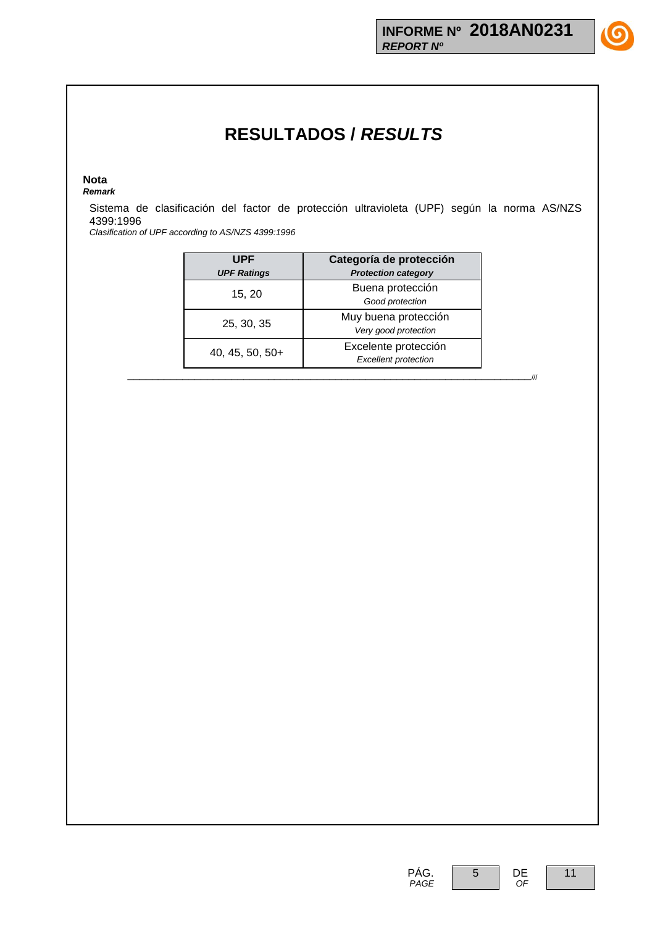#### **Nota** *Remark*

Sistema de clasificación del factor de protección ultravioleta (UPF) según la norma AS/NZS 4399:1996

*Clasification of UPF according to AS/NZS 4399:1996*

| <b>UPF</b><br><b>UPF Ratings</b> | Categoría de protección<br><b>Protection category</b> |  |  |
|----------------------------------|-------------------------------------------------------|--|--|
| 15, 20                           | Buena protección<br>Good protection                   |  |  |
| 25, 30, 35                       | Muy buena protección<br>Very good protection          |  |  |
| 40, 45, 50, $50+$                | Excelente protección<br><b>Excellent protection</b>   |  |  |

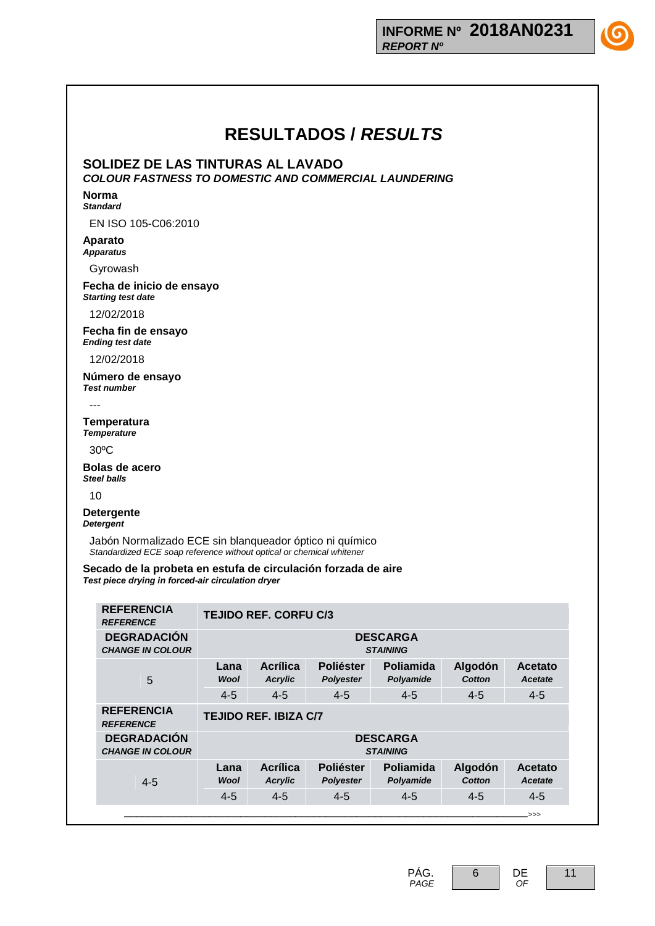

**SOLIDEZ DE LAS TINTURAS AL LAVADO**

*COLOUR FASTNESS TO DOMESTIC AND COMMERCIAL LAUNDERING*

#### **Norma** *Standard*

EN ISO 105-C06:2010

### **Aparato** *Apparatus*

Gyrowash

#### **Fecha de inicio de ensayo** *Starting test date*

12/02/2018

**Fecha fin de ensayo** *Ending test date*

12/02/2018

**Número de ensayo** *Test number*

---

**Temperatura** *Temperature*

30ºC

**Bolas de acero** *Steel balls*

10

**Detergente** *Detergent*

> Jabón Normalizado ECE sin blanqueador óptico ni químico *Standardized ECE soap reference without optical or chemical whitener*

**Secado de la probeta en estufa de circulación forzada de aire** *Test piece drying in forced-air circulation dryer*

| <b>REFERENCIA</b><br><b>REFERENCE</b>         | <b>TEJIDO REF. CORFU C/3</b>       |                            |                                      |                        |                   |                           |
|-----------------------------------------------|------------------------------------|----------------------------|--------------------------------------|------------------------|-------------------|---------------------------|
| <b>DEGRADACIÓN</b><br><b>CHANGE IN COLOUR</b> | <b>DESCARGA</b><br><b>STAINING</b> |                            |                                      |                        |                   |                           |
| 5                                             | Lana<br><b>Wool</b>                | Acrílica<br><b>Acrylic</b> | <b>Poliéster</b><br>Polyester        | Poliamida<br>Polyamide | Algodón<br>Cotton | Acetato<br>Acetate        |
|                                               | $4 - 5$                            | $4 - 5$                    | $4 - 5$                              | $4 - 5$                | $4 - 5$           | $4 - 5$                   |
| <b>REFERENCIA</b><br><b>REFERENCE</b>         | <b>TEJIDO REF. IBIZA C/7</b>       |                            |                                      |                        |                   |                           |
| <b>DEGRADACIÓN</b><br><b>CHANGE IN COLOUR</b> | <b>DESCARGA</b><br><b>STAINING</b> |                            |                                      |                        |                   |                           |
| $4 - 5$                                       | Lana<br><b>Wool</b>                | Acrílica<br><b>Acrylic</b> | <b>Poliéster</b><br><b>Polyester</b> | Poliamida<br>Polyamide | Algodón<br>Cotton | Acetato<br><b>Acetate</b> |
|                                               | $4 - 5$                            | $4 - 5$                    | $4 - 5$                              | $4 - 5$                | $4 - 5$           | $4 - 5$                   |
|                                               |                                    |                            |                                      |                        |                   | .>>>                      |

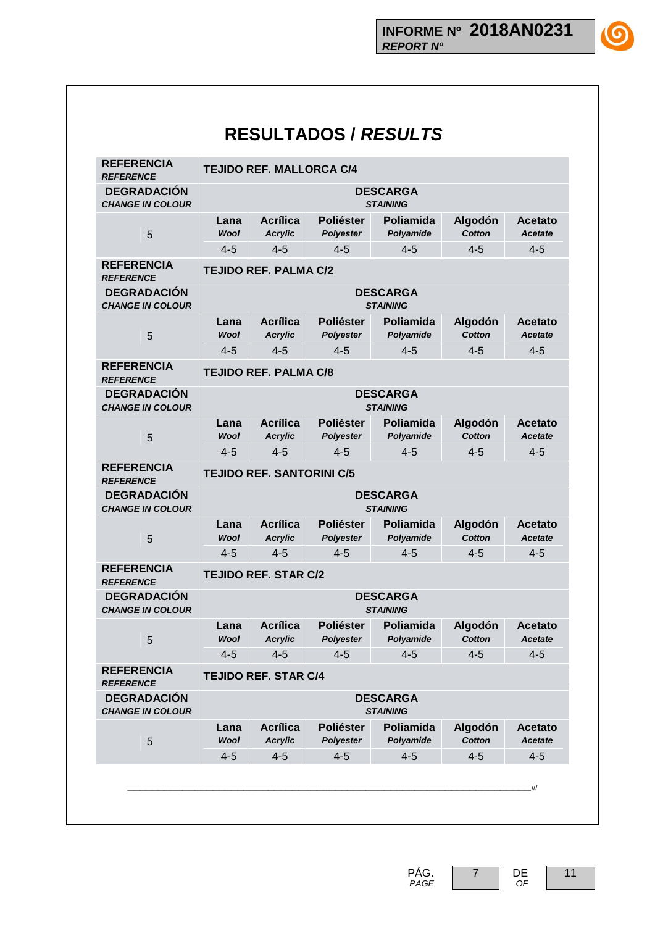(G

| <b>REFERENCIA</b><br><b>REFERENCE</b>         |                     | <b>TEJIDO REF. MALLORCA C/4</b>   |                                      |                                    |                          |                                  |  |
|-----------------------------------------------|---------------------|-----------------------------------|--------------------------------------|------------------------------------|--------------------------|----------------------------------|--|
| <b>DEGRADACIÓN</b><br><b>CHANGE IN COLOUR</b> |                     |                                   |                                      | <b>DESCARGA</b><br><b>STAINING</b> |                          |                                  |  |
| 5                                             | Lana<br><b>Wool</b> | <b>Acrílica</b><br><b>Acrylic</b> | <b>Poliéster</b><br><b>Polyester</b> | Poliamida<br>Polyamide             | Algodón<br><b>Cotton</b> | <b>Acetato</b><br><b>Acetate</b> |  |
|                                               | $4 - 5$             | $4 - 5$                           | $4 - 5$                              | $4 - 5$                            | $4 - 5$                  | $4 - 5$                          |  |
| <b>REFERENCIA</b><br><b>REFERENCE</b>         |                     | <b>TEJIDO REF. PALMA C/2</b>      |                                      |                                    |                          |                                  |  |
| <b>DEGRADACIÓN</b><br><b>CHANGE IN COLOUR</b> |                     |                                   |                                      | <b>DESCARGA</b><br><b>STAINING</b> |                          |                                  |  |
| 5                                             | Lana<br><b>Wool</b> | <b>Acrílica</b><br><b>Acrylic</b> | <b>Poliéster</b><br><b>Polyester</b> | Poliamida<br>Polyamide             | Algodón<br>Cotton        | <b>Acetato</b><br><b>Acetate</b> |  |
|                                               | $4 - 5$             | $4 - 5$                           | $4 - 5$                              | $4 - 5$                            | $4 - 5$                  | $4 - 5$                          |  |
| <b>REFERENCIA</b><br><b>REFERENCE</b>         |                     | <b>TEJIDO REF. PALMA C/8</b>      |                                      |                                    |                          |                                  |  |
| <b>DEGRADACIÓN</b>                            |                     |                                   |                                      | <b>DESCARGA</b>                    |                          |                                  |  |
| <b>CHANGE IN COLOUR</b>                       | Lana                | <b>Acrílica</b>                   | <b>Poliéster</b>                     | <b>STAINING</b><br>Poliamida       | Algodón                  | <b>Acetato</b>                   |  |
| 5                                             | <b>Wool</b>         | <b>Acrylic</b>                    | <b>Polyester</b>                     | Polyamide                          | Cotton                   | <b>Acetate</b>                   |  |
|                                               | $4 - 5$             | $4 - 5$                           | $4 - 5$                              | $4 - 5$                            | $4 - 5$                  | $4 - 5$                          |  |
| <b>REFERENCIA</b><br><b>REFERENCE</b>         |                     | <b>TEJIDO REF. SANTORINI C/5</b>  |                                      |                                    |                          |                                  |  |
| <b>DEGRADACIÓN</b><br><b>CHANGE IN COLOUR</b> |                     |                                   |                                      | <b>DESCARGA</b><br><b>STAINING</b> |                          |                                  |  |
| 5                                             | Lana<br><b>Wool</b> | <b>Acrílica</b><br><b>Acrylic</b> | <b>Poliéster</b><br><b>Polyester</b> | Poliamida<br>Polyamide             | Algodón<br><b>Cotton</b> | <b>Acetato</b><br><b>Acetate</b> |  |
|                                               | $4 - 5$             | $4 - 5$                           | $4 - 5$                              | $4 - 5$                            | $4 - 5$                  | $4 - 5$                          |  |
| <b>REFERENCIA</b><br><b>REFERENCE</b>         |                     | <b>TEJIDO REF. STAR C/2</b>       |                                      |                                    |                          |                                  |  |
| <b>DEGRADACIÓN</b><br><b>CHANGE IN COLOUR</b> |                     |                                   |                                      | <b>DESCARGA</b><br><b>STAINING</b> |                          |                                  |  |
| 5                                             | Lana<br><b>Wool</b> | <b>Acrílica</b><br><b>Acrylic</b> | <b>Poliéster</b><br><b>Polyester</b> | Poliamida<br>Polyamide             | Algodón<br><b>Cotton</b> | <b>Acetato</b><br><b>Acetate</b> |  |
|                                               | $4 - 5$             | $4 - 5$                           | $4 - 5$                              | $4 - 5$                            | $4 - 5$                  | $4 - 5$                          |  |
| <b>REFERENCIA</b><br><b>REFERENCE</b>         |                     | <b>TEJIDO REF. STAR C/4</b>       |                                      |                                    |                          |                                  |  |
| <b>DEGRADACIÓN</b><br><b>CHANGE IN COLOUR</b> |                     |                                   |                                      | <b>DESCARGA</b><br><b>STAINING</b> |                          |                                  |  |
| 5                                             | Lana<br><b>Wool</b> | <b>Acrílica</b><br><b>Acrylic</b> | <b>Poliéster</b><br><b>Polyester</b> | <b>Poliamida</b><br>Polyamide      | Algodón<br><b>Cotton</b> | <b>Acetato</b><br><b>Acetate</b> |  |
|                                               | $4 - 5$             | $4 - 5$                           | $4 - 5$                              | $4 - 5$                            | $4 - 5$                  | $4 - 5$                          |  |

11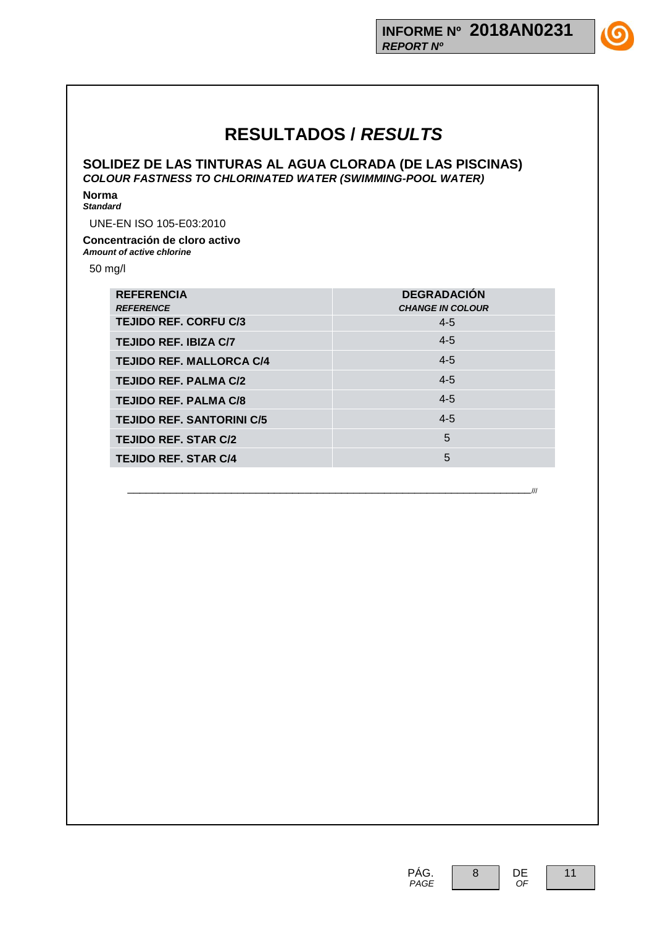**SOLIDEZ DE LAS TINTURAS AL AGUA CLORADA (DE LAS PISCINAS)** *COLOUR FASTNESS TO CHLORINATED WATER (SWIMMING-POOL WATER)*

**Norma** *Standard*

UNE-EN ISO 105-E03:2010

### **Concentración de cloro activo** *Amount of active chlorine*

50 mg/l

| <b>REFERENCIA</b><br><b>REFERENCE</b> | <b>DEGRADACIÓN</b><br><b>CHANGE IN COLOUR</b> |
|---------------------------------------|-----------------------------------------------|
| <b>TEJIDO REF. CORFU C/3</b>          | $4 - 5$                                       |
| <b>TEJIDO REF. IBIZA C/7</b>          | $4 - 5$                                       |
| <b>TEJIDO REF. MALLORCA C/4</b>       | $4 - 5$                                       |
| <b>TEJIDO REF. PALMA C/2</b>          | $4 - 5$                                       |
| <b>TEJIDO REF. PALMA C/8</b>          | $4 - 5$                                       |
| <b>TEJIDO REF. SANTORINI C/5</b>      | $4 - 5$                                       |
| <b>TEJIDO REF. STAR C/2</b>           | 5                                             |
| <b>TEJIDO REF. STAR C/4</b>           | 5                                             |

\_\_\_\_\_\_\_\_\_\_\_\_\_\_\_\_\_\_\_\_\_\_\_\_\_\_\_\_\_\_\_\_\_\_\_\_\_\_\_\_\_\_\_\_\_\_\_\_\_\_\_\_\_\_\_\_\_\_\_\_\_\_\_\_\_\_///

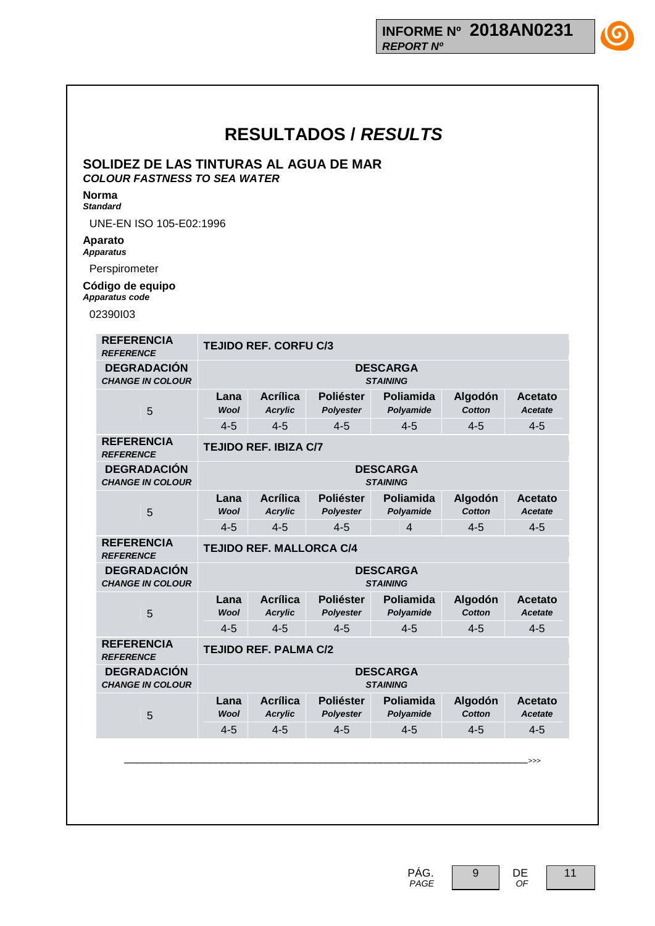

### **SOLIDEZ DE LAS TINTURAS AL AGUA DE MAR** *COLOUR FASTNESS TO SEA WATER*

#### **Norma** *Standard*

UNE-EN ISO 105-E02:1996

### **Aparato** *Apparatus*

Perspirometer

### **Código de equipo** *Apparatus code*

02390I03

| <b>REFERENCIA</b><br><b>REFERENCE</b>         | <b>TEJIDO REF. CORFU C/3</b>       |                                    |                                      |                                    |                          |                                  |  |
|-----------------------------------------------|------------------------------------|------------------------------------|--------------------------------------|------------------------------------|--------------------------|----------------------------------|--|
| <b>DEGRADACIÓN</b><br><b>CHANGE IN COLOUR</b> |                                    | <b>DESCARGA</b><br><b>STAINING</b> |                                      |                                    |                          |                                  |  |
| 5                                             | Lana<br><b>Wool</b>                | <b>Acrílica</b><br><b>Acrylic</b>  | <b>Poliéster</b><br><b>Polyester</b> | Poliamida<br>Polyamide             | Algodón<br><b>Cotton</b> | <b>Acetato</b><br><b>Acetate</b> |  |
|                                               | $4 - 5$                            | $4 - 5$                            | $4 - 5$                              | $4 - 5$                            | $4 - 5$                  | $4 - 5$                          |  |
| <b>REFERENCIA</b><br><b>REFERENCE</b>         |                                    | <b>TEJIDO REF. IBIZA C/7</b>       |                                      |                                    |                          |                                  |  |
| <b>DEGRADACIÓN</b><br><b>CHANGE IN COLOUR</b> |                                    |                                    |                                      | <b>DESCARGA</b><br><b>STAINING</b> |                          |                                  |  |
| 5                                             | Lana<br><b>Wool</b>                | <b>Acrílica</b><br><b>Acrylic</b>  | <b>Poliéster</b><br>Polyester        | Poliamida<br>Polyamide             | Algodón<br><b>Cotton</b> | Acetato<br><b>Acetate</b>        |  |
|                                               | $4 - 5$                            | $4 - 5$                            | $4 - 5$                              | $\overline{4}$                     | $4 - 5$                  | $4 - 5$                          |  |
| <b>REFERENCIA</b><br><b>REFERENCE</b>         | <b>TEJIDO REF. MALLORCA C/4</b>    |                                    |                                      |                                    |                          |                                  |  |
| <b>DEGRADACIÓN</b><br><b>CHANGE IN COLOUR</b> |                                    |                                    |                                      | <b>DESCARGA</b><br><b>STAINING</b> |                          |                                  |  |
| 5                                             | Lana<br><b>Wool</b>                | <b>Acrílica</b><br><b>Acrylic</b>  | <b>Poliéster</b><br><b>Polyester</b> | Poliamida<br>Polyamide             | Algodón<br>Cotton        | Acetato<br><b>Acetate</b>        |  |
|                                               | $4 - 5$                            | $4 - 5$                            | $4 - 5$                              | $4 - 5$                            | $4 - 5$                  | $4 - 5$                          |  |
| <b>REFERENCIA</b><br><b>REFERENCE</b>         |                                    | <b>TEJIDO REF. PALMA C/2</b>       |                                      |                                    |                          |                                  |  |
| <b>DEGRADACIÓN</b><br><b>CHANGE IN COLOUR</b> | <b>DESCARGA</b><br><b>STAINING</b> |                                    |                                      |                                    |                          |                                  |  |
| 5                                             | Lana<br><b>Wool</b>                | <b>Acrílica</b><br><b>Acrylic</b>  | <b>Poliéster</b><br><b>Polyester</b> | Poliamida<br>Polyamide             | Algodón<br><b>Cotton</b> | Acetato<br><b>Acetate</b>        |  |
|                                               | $4 - 5$                            | $4 - 5$                            | $4 - 5$                              | $4 - 5$                            | $4 - 5$                  | $4 - 5$                          |  |
|                                               |                                    |                                    |                                      |                                    |                          |                                  |  |
|                                               |                                    |                                    |                                      |                                    |                          | $\Rightarrow$                    |  |
|                                               |                                    |                                    |                                      |                                    |                          |                                  |  |
|                                               |                                    |                                    |                                      |                                    |                          |                                  |  |
|                                               |                                    |                                    |                                      |                                    |                          |                                  |  |

PÁG.  *PAGE*



 *OF*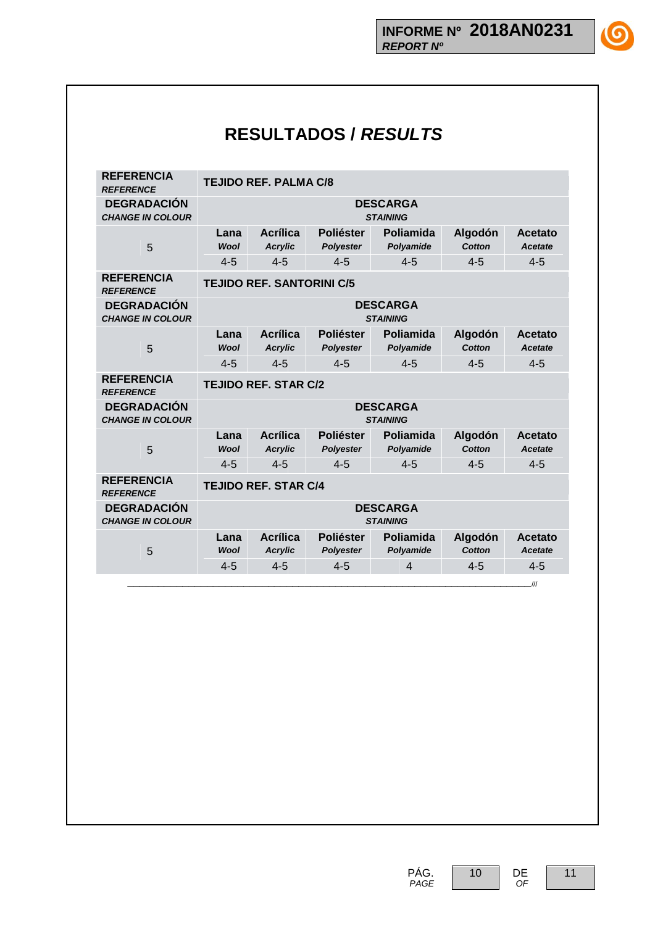**1G** 

# **RESULTADOS /** *RESULTS*

| <b>REFERENCIA</b><br><b>REFERENCE</b>         | <b>TEJIDO REF. PALMA C/8</b>       |                                    |                                      |                                    |                          |                           |
|-----------------------------------------------|------------------------------------|------------------------------------|--------------------------------------|------------------------------------|--------------------------|---------------------------|
| <b>DEGRADACIÓN</b><br><b>CHANGE IN COLOUR</b> | <b>DESCARGA</b><br><b>STAINING</b> |                                    |                                      |                                    |                          |                           |
| 5                                             | Lana<br><b>Wool</b>                | <b>Acrílica</b><br><b>Acrylic</b>  | <b>Poliéster</b><br><b>Polyester</b> | <b>Poliamida</b><br>Polyamide      | Algodón<br><b>Cotton</b> | Acetato<br><b>Acetate</b> |
|                                               | $4 - 5$                            | $4 - 5$                            | $4 - 5$                              | $4 - 5$                            | $4 - 5$                  | $4 - 5$                   |
| <b>REFERENCIA</b><br><b>REFERENCE</b>         |                                    | <b>TEJIDO REF. SANTORINI C/5</b>   |                                      |                                    |                          |                           |
| <b>DEGRADACIÓN</b><br><b>CHANGE IN COLOUR</b> |                                    | <b>DESCARGA</b><br><b>STAINING</b> |                                      |                                    |                          |                           |
| 5                                             | Lana<br><b>Wool</b>                | <b>Acrílica</b><br><b>Acrylic</b>  | <b>Poliéster</b><br><b>Polyester</b> | Poliamida<br>Polyamide             | Algodón<br><b>Cotton</b> | Acetato<br><b>Acetate</b> |
|                                               | $4 - 5$                            | $4 - 5$                            | $4 - 5$                              | $4 - 5$                            | $4 - 5$                  | $4 - 5$                   |
| <b>REFERENCIA</b><br><b>REFERENCE</b>         | <b>TEJIDO REF. STAR C/2</b>        |                                    |                                      |                                    |                          |                           |
| <b>DEGRADACIÓN</b><br><b>CHANGE IN COLOUR</b> |                                    |                                    |                                      | <b>DESCARGA</b><br><b>STAINING</b> |                          |                           |
|                                               | Lana                               | Acrílica                           | <b>Poliéster</b>                     | Poliamida                          | Algodón                  | Acetato                   |
| 5                                             | <b>Wool</b>                        | <b>Acrylic</b>                     | <b>Polyester</b>                     | Polyamide                          | <b>Cotton</b>            | <b>Acetate</b>            |
|                                               | $4 - 5$                            | $4 - 5$                            | $4 - 5$                              | $4 - 5$                            | $4 - 5$                  | $4 - 5$                   |
| <b>REFERENCIA</b><br><b>REFERENCE</b>         | <b>TEJIDO REF. STAR C/4</b>        |                                    |                                      |                                    |                          |                           |
| <b>DEGRADACIÓN</b><br><b>CHANGE IN COLOUR</b> | <b>DESCARGA</b><br><b>STAINING</b> |                                    |                                      |                                    |                          |                           |
| 5                                             | Lana<br><b>Wool</b>                | <b>Acrílica</b><br><b>Acrylic</b>  | <b>Poliéster</b><br><b>Polyester</b> | Poliamida<br>Polyamide             | Algodón<br><b>Cotton</b> | Acetato<br><b>Acetate</b> |
|                                               | $4 - 5$                            | $4 - 5$                            | $4 - 5$                              | $\overline{\mathbf{4}}$            | $4 - 5$                  | $4 - 5$                   |
|                                               |                                    |                                    |                                      |                                    |                          |                           |



PÁG.  *PAGE* 10 DE

 *OF*

11